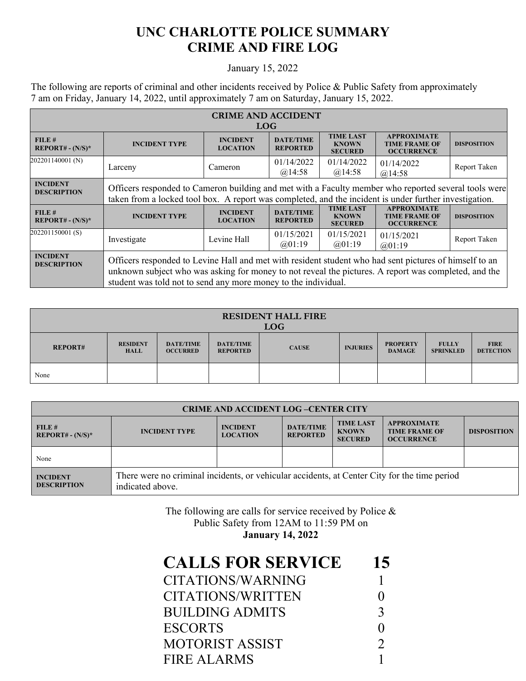## **UNC CHARLOTTE POLICE SUMMARY CRIME AND FIRE LOG**

## January 15, 2022

The following are reports of criminal and other incidents received by Police & Public Safety from approximately 7 am on Friday, January 14, 2022, until approximately 7 am on Saturday, January 15, 2022.

| <b>CRIME AND ACCIDENT</b><br><b>LOG</b> |                                                                                                                                                                                                                                                                                  |                                    |                                     |                                                    |                                                                 |                    |  |
|-----------------------------------------|----------------------------------------------------------------------------------------------------------------------------------------------------------------------------------------------------------------------------------------------------------------------------------|------------------------------------|-------------------------------------|----------------------------------------------------|-----------------------------------------------------------------|--------------------|--|
| FILE#<br>$REPORT# - (N/S)*$             | <b>INCIDENT TYPE</b>                                                                                                                                                                                                                                                             | <b>INCIDENT</b><br><b>LOCATION</b> | <b>DATE/TIME</b><br><b>REPORTED</b> | <b>TIME LAST</b><br><b>KNOWN</b><br><b>SECURED</b> | <b>APPROXIMATE</b><br><b>TIME FRAME OF</b><br><b>OCCURRENCE</b> | <b>DISPOSITION</b> |  |
| 202201140001 (N)                        | Larceny                                                                                                                                                                                                                                                                          | Cameron                            | 01/14/2022<br>@14:58                | 01/14/2022<br>@14:58                               | 01/14/2022<br>@14:58                                            | Report Taken       |  |
| <b>INCIDENT</b><br><b>DESCRIPTION</b>   | Officers responded to Cameron building and met with a Faculty member who reported several tools were<br>taken from a locked tool box. A report was completed, and the incident is under further investigation.                                                                   |                                    |                                     |                                                    |                                                                 |                    |  |
| FILE#<br>$REPORT# - (N/S)*$             | <b>INCIDENT TYPE</b>                                                                                                                                                                                                                                                             | <b>INCIDENT</b><br><b>LOCATION</b> | <b>DATE/TIME</b><br><b>REPORTED</b> | <b>TIME LAST</b><br><b>KNOWN</b><br><b>SECURED</b> | <b>APPROXIMATE</b><br><b>TIME FRAME OF</b><br><b>OCCURRENCE</b> | <b>DISPOSITION</b> |  |
| 202201150001(S)                         | Investigate                                                                                                                                                                                                                                                                      | Levine Hall                        | 01/15/2021<br>@01:19                | 01/15/2021<br>(201:19)                             | 01/15/2021<br>@01:19                                            | Report Taken       |  |
| <b>INCIDENT</b><br><b>DESCRIPTION</b>   | Officers responded to Levine Hall and met with resident student who had sent pictures of himself to an<br>unknown subject who was asking for money to not reveal the pictures. A report was completed, and the<br>student was told not to send any more money to the individual. |                                    |                                     |                                                    |                                                                 |                    |  |

| <b>RESIDENT HALL FIRE</b><br><b>LOG</b> |                                |                                     |                                     |              |                 |                                  |                                  |                                 |
|-----------------------------------------|--------------------------------|-------------------------------------|-------------------------------------|--------------|-----------------|----------------------------------|----------------------------------|---------------------------------|
| <b>REPORT#</b>                          | <b>RESIDENT</b><br><b>HALL</b> | <b>DATE/TIME</b><br><b>OCCURRED</b> | <b>DATE/TIME</b><br><b>REPORTED</b> | <b>CAUSE</b> | <b>INJURIES</b> | <b>PROPERTY</b><br><b>DAMAGE</b> | <b>FULLY</b><br><b>SPRINKLED</b> | <b>FIRE</b><br><b>DETECTION</b> |
| None                                    |                                |                                     |                                     |              |                 |                                  |                                  |                                 |

| <b>CRIME AND ACCIDENT LOG-CENTER CITY</b> |                                                                                                                  |                                    |                                     |                                                    |                                                                 |                    |  |
|-------------------------------------------|------------------------------------------------------------------------------------------------------------------|------------------------------------|-------------------------------------|----------------------------------------------------|-----------------------------------------------------------------|--------------------|--|
| FILE#<br>$REPORT# - (N/S)*$               | <b>INCIDENT TYPE</b>                                                                                             | <b>INCIDENT</b><br><b>LOCATION</b> | <b>DATE/TIME</b><br><b>REPORTED</b> | <b>TIME LAST</b><br><b>KNOWN</b><br><b>SECURED</b> | <b>APPROXIMATE</b><br><b>TIME FRAME OF</b><br><b>OCCURRENCE</b> | <b>DISPOSITION</b> |  |
| None                                      |                                                                                                                  |                                    |                                     |                                                    |                                                                 |                    |  |
| <b>INCIDENT</b><br><b>DESCRIPTION</b>     | There were no criminal incidents, or vehicular accidents, at Center City for the time period<br>indicated above. |                                    |                                     |                                                    |                                                                 |                    |  |

The following are calls for service received by Police & Public Safety from 12AM to 11:59 PM on **January 14, 2022**

| 15            |
|---------------|
|               |
|               |
| 3             |
|               |
| $\mathcal{D}$ |
|               |
|               |